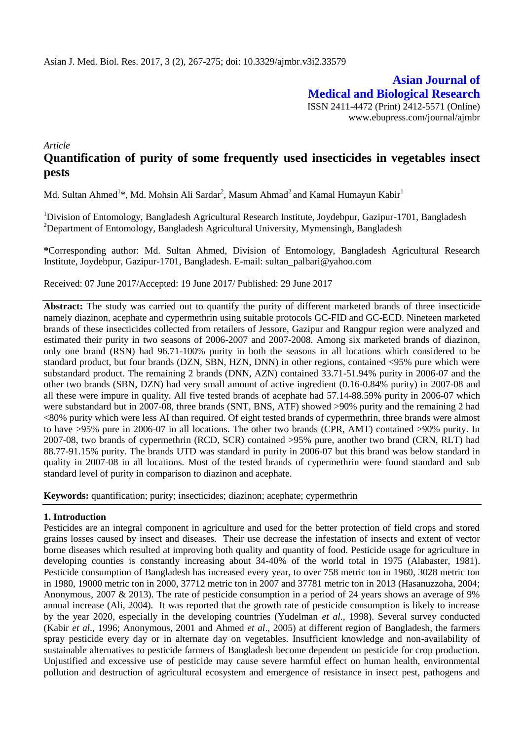**Asian Journal of Medical and Biological Research** ISSN 2411-4472 (Print) 2412-5571 (Online) www.ebupress.com/journal/ajmbr

*Article*

# **Quantification of purity of some frequently used insecticides in vegetables insect pests**

Md. Sultan Ahmed<sup>1</sup>\*, Md. Mohsin Ali Sardar<sup>2</sup>, Masum Ahmad<sup>2</sup> and Kamal Humayun Kabir<sup>1</sup>

<sup>1</sup>Division of Entomology, Bangladesh Agricultural Research Institute, Joydebpur, Gazipur-1701, Bangladesh <sup>2</sup>Department of Entomology, Bangladesh Agricultural University, Mymensingh, Bangladesh

**\***Corresponding author: Md. Sultan Ahmed, Division of Entomology, Bangladesh Agricultural Research Institute, Joydebpur, Gazipur-1701, Bangladesh. E-mail: sultan\_palbari@yahoo.com

Received: 07 June 2017/Accepted: 19 June 2017/ Published: 29 June 2017

Abstract: The study was carried out to quantify the purity of different marketed brands of three insecticide namely diazinon, acephate and cypermethrin using suitable protocols GC-FID and GC-ECD. Nineteen marketed brands of these insecticides collected from retailers of Jessore, Gazipur and Rangpur region were analyzed and estimated their purity in two seasons of 2006-2007 and 2007-2008. Among six marketed brands of diazinon, only one brand (RSN) had 96.71-100% purity in both the seasons in all locations which considered to be standard product, but four brands (DZN, SBN, HZN, DNN) in other regions, contained <95% pure which were substandard product. The remaining 2 brands (DNN, AZN) contained 33.71-51.94% purity in 2006-07 and the other two brands (SBN, DZN) had very small amount of active ingredient (0.16-0.84% purity) in 2007-08 and all these were impure in quality. All five tested brands of acephate had 57.14-88.59% purity in 2006-07 which were substandard but in 2007-08, three brands (SNT, BNS, ATF) showed >90% purity and the remaining 2 had <80% purity which were less AI than required. Of eight tested brands of cypermethrin, three brands were almost to have >95% pure in 2006-07 in all locations. The other two brands (CPR, AMT) contained >90% purity. In 2007-08, two brands of cypermethrin (RCD, SCR) contained >95% pure, another two brand (CRN, RLT) had 88.77-91.15% purity. The brands UTD was standard in purity in 2006-07 but this brand was below standard in quality in 2007-08 in all locations. Most of the tested brands of cypermethrin were found standard and sub standard level of purity in comparison to diazinon and acephate.

**Keywords:** quantification; purity; insecticides; diazinon; acephate; cypermethrin

### **1. Introduction**

Pesticides are an integral component in agriculture and used for the better protection of field crops and stored grains losses caused by insect and diseases. Their use decrease the infestation of insects and extent of vector borne diseases which resulted at improving both quality and quantity of food. Pesticide usage for agriculture in developing counties is constantly increasing about 34-40% of the world total in 1975 (Alabaster, 1981). Pesticide consumption of Bangladesh has increased every year, to over 758 metric ton in 1960, 3028 metric ton in 1980, 19000 metric ton in 2000, 37712 metric ton in 2007 and 37781 metric ton in 2013 (Hasanuzzoha, 2004; Anonymous, 2007 & 2013). The rate of pesticide consumption in a period of 24 years shows an average of 9% annual increase (Ali, 2004). It was reported that the growth rate of pesticide consumption is likely to increase by the year 2020, especially in the developing countries (Yudelman *et al.,* 1998). Several survey conducted (Kabir *et al*., 1996; Anonymous, 2001 and Ahmed *et al*., 2005) at different region of Bangladesh, the farmers spray pesticide every day or in alternate day on vegetables. Insufficient knowledge and non-availability of sustainable alternatives to pesticide farmers of Bangladesh become dependent on pesticide for crop production. Unjustified and excessive use of pesticide may cause severe harmful effect on human health, environmental pollution and destruction of agricultural ecosystem and emergence of resistance in insect pest, pathogens and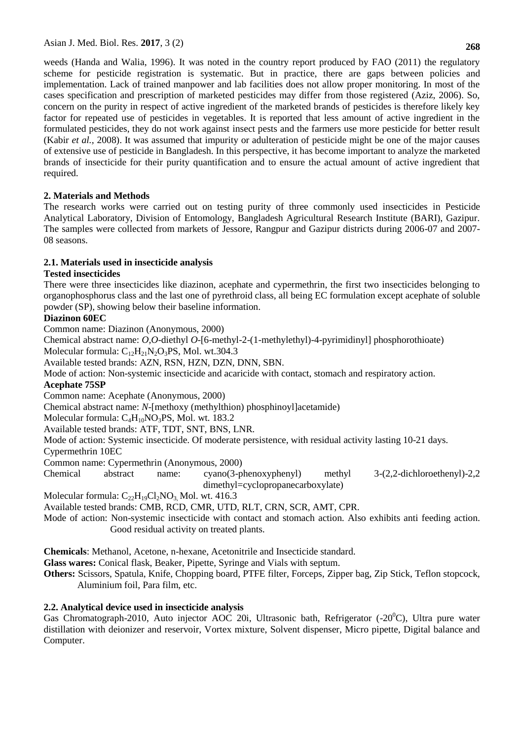Asian J. Med. Biol. Res. **2017**, 3 (2)

weeds (Handa and Walia, 1996). It was noted in the country report produced by FAO (2011) the regulatory scheme for pesticide registration is systematic. But in practice, there are gaps between policies and implementation. Lack of trained manpower and lab facilities does not allow proper monitoring. In most of the cases specification and prescription of marketed pesticides may differ from those registered (Aziz, 2006). So, concern on the purity in respect of active ingredient of the marketed brands of pesticides is therefore likely key factor for repeated use of pesticides in vegetables. It is reported that less amount of active ingredient in the formulated pesticides, they do not work against insect pests and the farmers use more pesticide for better result (Kabir *et al.,* 2008). It was assumed that impurity or adulteration of pesticide might be one of the major causes of extensive use of pesticide in Bangladesh. In this perspective, it has become important to analyze the marketed brands of insecticide for their purity quantification and to ensure the actual amount of active ingredient that required.

## **2. Materials and Methods**

The research works were carried out on testing purity of three commonly used insecticides in Pesticide Analytical Laboratory, Division of Entomology, Bangladesh Agricultural Research Institute (BARI), Gazipur. The samples were collected from markets of Jessore, Rangpur and Gazipur districts during 2006-07 and 2007- 08 seasons.

## **2.1. Materials used in insecticide analysis**

## **Tested insecticides**

There were three insecticides like diazinon, acephate and cypermethrin, the first two insecticides belonging to organophosphorus class and the last one of pyrethroid class, all being EC formulation except acephate of soluble powder (SP), showing below their baseline information.

## **Diazinon 60EC**

Common name: Diazinon (Anonymous, 2000)

Chemical abstract name: *O,O*-diethyl *O*-[6-methyl-2-(1-methylethyl)-4-pyrimidinyl] phosphorothioate) Molecular formula:  $C_{12}H_{21}N_2O_3PS$ , Mol. wt.304.3

Available tested brands: AZN, RSN, HZN, DZN, DNN, SBN.

Mode of action: Non-systemic insecticide and acaricide with contact, stomach and respiratory action.

## **Acephate 75SP**

Common name: Acephate (Anonymous, 2000)

Chemical abstract name: *N*-[methoxy (methylthion) phosphinoyl]acetamide)

Molecular formula: C<sub>4</sub>H<sub>10</sub>NO<sub>3</sub>PS, Mol. wt. 183.2

Available tested brands: ATF, TDT, SNT, BNS, LNR.

Mode of action: Systemic insecticide. Of moderate persistence, with residual activity lasting 10-21 days.

Cypermethrin 10EC

Common name: Cypermethrin (Anonymous, 2000)

Chemical abstract name: cyano(3-phenoxyphenyl) methyl 3-(2,2-dichloroethenyl)-2,2 dimethyl=cyclopropanecarboxylate)

Molecular formula:  $C_{22}H_{19}Cl_2NO_3$ , Mol. wt. 416.3

Available tested brands: CMB, RCD, CMR, UTD, RLT, CRN, SCR, AMT, CPR.

Mode of action: Non-systemic insecticide with contact and stomach action. Also exhibits anti feeding action. Good residual activity on treated plants.

**Chemicals**: Methanol, Acetone, n-hexane, Acetonitrile and Insecticide standard.

**Glass wares:** Conical flask, Beaker, Pipette, Syringe and Vials with septum.

**Others:** Scissors, Spatula, Knife, Chopping board, PTFE filter, Forceps, Zipper bag, Zip Stick, Teflon stopcock, Aluminium foil, Para film, etc.

## **2.2. Analytical device used in insecticide analysis**

Gas Chromatograph-2010, Auto injector AOC 20i, Ultrasonic bath, Refrigerator  $(-20^{\circ}C)$ , Ultra pure water distillation with deionizer and reservoir, Vortex mixture, Solvent dispenser, Micro pipette, Digital balance and Computer.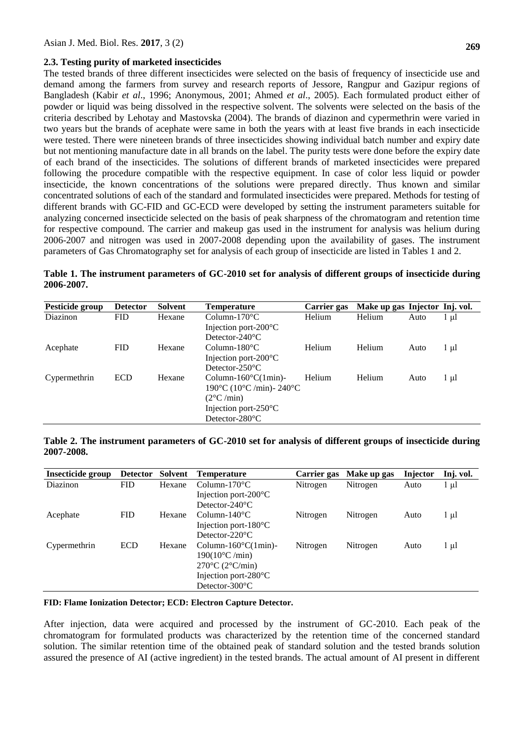#### **2.3. Testing purity of marketed insecticides**

The tested brands of three different insecticides were selected on the basis of frequency of insecticide use and demand among the farmers from survey and research reports of Jessore, Rangpur and Gazipur regions of Bangladesh (Kabir *et al*., 1996; Anonymous, 2001; Ahmed *et al*., 2005). Each formulated product either of powder or liquid was being dissolved in the respective solvent. The solvents were selected on the basis of the criteria described by Lehotay and Mastovska (2004). The brands of diazinon and cypermethrin were varied in two years but the brands of acephate were same in both the years with at least five brands in each insecticide were tested. There were nineteen brands of three insecticides showing individual batch number and expiry date but not mentioning manufacture date in all brands on the label. The purity tests were done before the expiry date of each brand of the insecticides. The solutions of different brands of marketed insecticides were prepared following the procedure compatible with the respective equipment. In case of color less liquid or powder insecticide, the known concentrations of the solutions were prepared directly. Thus known and similar concentrated solutions of each of the standard and formulated insecticides were prepared. Methods for testing of different brands with GC-FID and GC-ECD were developed by setting the instrument parameters suitable for analyzing concerned insecticide selected on the basis of peak sharpness of the chromatogram and retention time for respective compound. The carrier and makeup gas used in the instrument for analysis was helium during 2006-2007 and nitrogen was used in 2007-2008 depending upon the availability of gases. The instrument parameters of Gas Chromatography set for analysis of each group of insecticide are listed in Tables 1 and 2.

| Pesticide group | <b>Detector</b> | Solvent | Temperature                                | Carrier gas | Make up gas Injector Inj. vol. |      |      |
|-----------------|-----------------|---------|--------------------------------------------|-------------|--------------------------------|------|------|
| Diazinon        | <b>FID</b>      | Hexane  | $Column-170^{\circ}C$                      | Helium      | <b>Helium</b>                  | Auto | l ul |
|                 |                 |         | Injection port- $200^{\circ}$ C            |             |                                |      |      |
|                 |                 |         | Detector- $240^{\circ}$ C                  |             |                                |      |      |
| Acephate        | <b>FID</b>      | Hexane  | Column-180 $\degree$ C                     | Helium      | Helium                         | Auto | l µl |
|                 |                 |         | Injection port- $200^{\circ}$ C            |             |                                |      |      |
|                 |                 |         | Detector- $250^{\circ}$ C                  |             |                                |      |      |
| Cypermethrin    | <b>ECD</b>      | Hexane  | Column- $160^{\circ}$ C $(1 \text{min})$ - | Helium      | Helium                         | Auto | l µl |
|                 |                 |         | 190 °C (10 °C /min) - 240 °C               |             |                                |      |      |
|                 |                 |         | $(2^{\circ}C / min)$                       |             |                                |      |      |
|                 |                 |         | Injection port- $250^{\circ}$ C            |             |                                |      |      |
|                 |                 |         | Detector- $280^{\circ}$ C                  |             |                                |      |      |

**Table 1. The instrument parameters of GC-2010 set for analysis of different groups of insecticide during 2006-2007.**

### **Table 2. The instrument parameters of GC-2010 set for analysis of different groups of insecticide during 2007-2008.**

| <b>Detector</b> | Solvent | Temperature                         | Carrier gas | Make up gas | <b>Injector</b> | Inj. vol. |
|-----------------|---------|-------------------------------------|-------------|-------------|-----------------|-----------|
| <b>FID</b>      | Hexane  | Column-170 $\rm ^{o}C$              | Nitrogen    | Nitrogen    | Auto            | 1 μl      |
|                 |         | Injection port- $200^{\circ}$ C     |             |             |                 |           |
|                 |         | Detector- $240^{\circ}$ C           |             |             |                 |           |
| <b>FID</b>      | Hexane  | Column-140 $\degree$ C              | Nitrogen    | Nitrogen    | Auto            | $1 \mu l$ |
|                 |         | Injection port- $180^{\circ}$ C     |             |             |                 |           |
|                 |         | Detector- $220^{\circ}$ C           |             |             |                 |           |
| <b>ECD</b>      | Hexane  | Column- $160^{\circ}$ C(1min)-      | Nitrogen    | Nitrogen    | Auto            | $1 \mu l$ |
|                 |         | $190(10^{\circ}C/\text{min})$       |             |             |                 |           |
|                 |         | $270^{\circ}$ C $(2^{\circ}$ C/min) |             |             |                 |           |
|                 |         | Injection port- $280^{\circ}$ C     |             |             |                 |           |
|                 |         | Detector- $300^{\circ}$ C           |             |             |                 |           |
|                 |         |                                     |             |             |                 |           |

#### **FID: Flame Ionization Detector; ECD: Electron Capture Detector.**

After injection, data were acquired and processed by the instrument of GC-2010. Each peak of the chromatogram for formulated products was characterized by the retention time of the concerned standard solution. The similar retention time of the obtained peak of standard solution and the tested brands solution assured the presence of AI (active ingredient) in the tested brands. The actual amount of AI present in different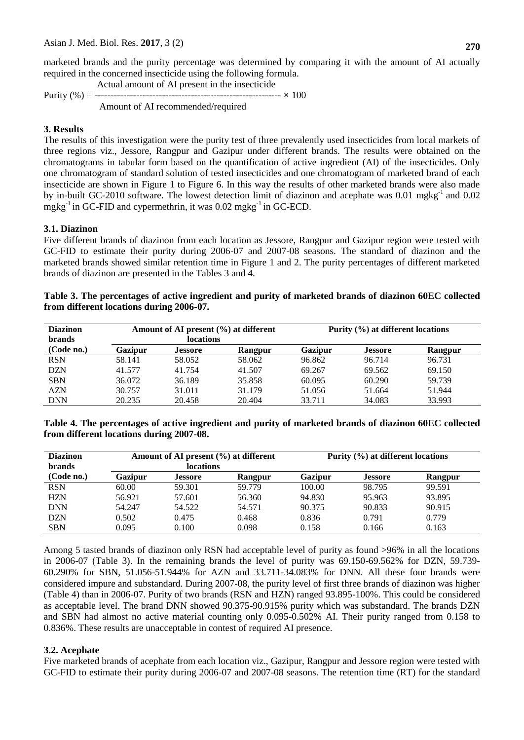marketed brands and the purity percentage was determined by comparing it with the amount of AI actually required in the concerned insecticide using the following formula.

 Actual amount of AI present in the insecticide Purity (%) = ---------------------------------------------------------- **×** 100 Amount of AI recommended/required

### **3. Results**

The results of this investigation were the purity test of three prevalently used insecticides from local markets of three regions viz., Jessore, Rangpur and Gazipur under different brands. The results were obtained on the chromatograms in tabular form based on the quantification of active ingredient (AI) of the insecticides. Only one chromatogram of standard solution of tested insecticides and one chromatogram of marketed brand of each insecticide are shown in Figure 1 to Figure 6. In this way the results of other marketed brands were also made by in-built GC-2010 software. The lowest detection limit of diazinon and acephate was 0.01 mgkg<sup>-1</sup> and 0.02 mgkg $^{-1}$  in GC-FID and cypermethrin, it was 0.02 mgkg $^{-1}$  in GC-ECD.

#### **3.1. Diazinon**

Five different brands of diazinon from each location as Jessore, Rangpur and Gazipur region were tested with GC-FID to estimate their purity during 2006-07 and 2007-08 seasons. The standard of diazinon and the marketed brands showed similar retention time in Figure 1 and 2. The purity percentages of different marketed brands of diazinon are presented in the Tables 3 and 4.

### **Table 3. The percentages of active ingredient and purity of marketed brands of diazinon 60EC collected from different locations during 2006-07.**

| <b>Diazinon</b><br><b>brands</b> |         | Amount of AI present $(\% )$ at different<br><b>locations</b> |         | Purity (%) at different locations |                |         |  |
|----------------------------------|---------|---------------------------------------------------------------|---------|-----------------------------------|----------------|---------|--|
| (Code no.)                       | Gazipur | <b>Jessore</b>                                                | Rangpur | Gazipur                           | <b>Jessore</b> | Rangpur |  |
| <b>RSN</b>                       | 58.141  | 58.052                                                        | 58.062  | 96.862                            | 96.714         | 96.731  |  |
| <b>DZN</b>                       | 41.577  | 41.754                                                        | 41.507  | 69.267                            | 69.562         | 69.150  |  |
| <b>SBN</b>                       | 36.072  | 36.189                                                        | 35.858  | 60.095                            | 60.290         | 59.739  |  |
| <b>AZN</b>                       | 30.757  | 31.011                                                        | 31.179  | 51.056                            | 51.664         | 51.944  |  |
| <b>DNN</b>                       | 20.235  | 20.458                                                        | 20.404  | 33.711                            | 34.083         | 33.993  |  |

**Table 4. The percentages of active ingredient and purity of marketed brands of diazinon 60EC collected from different locations during 2007-08.**

| <b>Diazinon</b> |         | Amount of AI present $(\% )$ at different |         | Purity (%) at different locations |                |         |  |
|-----------------|---------|-------------------------------------------|---------|-----------------------------------|----------------|---------|--|
| <b>brands</b>   |         | <b>locations</b>                          |         |                                   |                |         |  |
| (Code no.)      | Gazipur | <b>Jessore</b>                            | Rangpur | Gazipur                           | <b>Jessore</b> | Rangpur |  |
| <b>RSN</b>      | 60.00   | 59.301                                    | 59.779  | 100.00                            | 98.795         | 99.591  |  |
| <b>HZN</b>      | 56.921  | 57.601                                    | 56.360  | 94.830                            | 95.963         | 93.895  |  |
| <b>DNN</b>      | 54.247  | 54.522                                    | 54.571  | 90.375                            | 90.833         | 90.915  |  |
| <b>DZN</b>      | 0.502   | 0.475                                     | 0.468   | 0.836                             | 0.791          | 0.779   |  |
| <b>SBN</b>      | 0.095   | 0.100                                     | 0.098   | 0.158                             | 0.166          | 0.163   |  |

Among 5 tasted brands of diazinon only RSN had acceptable level of purity as found >96% in all the locations in 2006-07 (Table 3). In the remaining brands the level of purity was 69.150-69.562% for DZN, 59.739- 60.290% for SBN, 51.056-51.944% for AZN and 33.711-34.083% for DNN. All these four brands were considered impure and substandard. During 2007-08, the purity level of first three brands of diazinon was higher (Table 4) than in 2006-07. Purity of two brands (RSN and HZN) ranged 93.895-100%. This could be considered as acceptable level. The brand DNN showed 90.375-90.915% purity which was substandard. The brands DZN and SBN had almost no active material counting only 0.095-0.502% AI. Their purity ranged from 0.158 to 0.836%. These results are unacceptable in contest of required AI presence.

#### **3.2. Acephate**

Five marketed brands of acephate from each location viz., Gazipur, Rangpur and Jessore region were tested with GC-FID to estimate their purity during 2006-07 and 2007-08 seasons. The retention time (RT) for the standard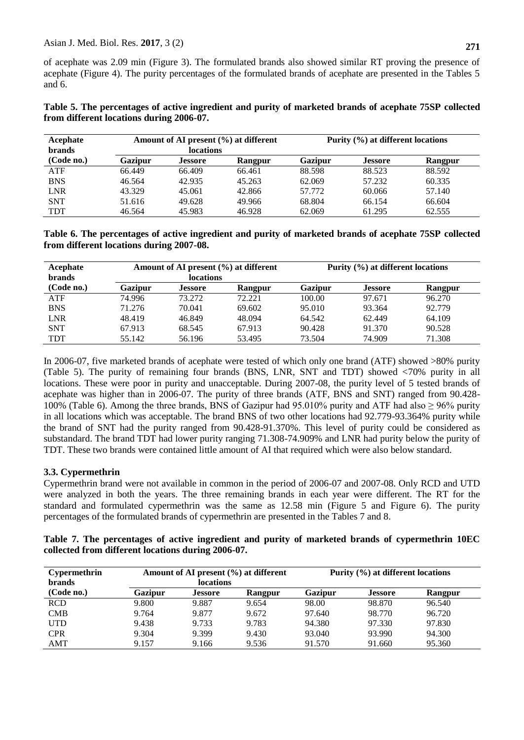| Table 5. The percentages of active ingredient and purity of marketed brands of acephate 75SP collected |  |  |  |
|--------------------------------------------------------------------------------------------------------|--|--|--|
| from different locations during 2006-07.                                                               |  |  |  |

| Acephate<br><b>brands</b> |         | <b>locations</b> | Amount of AI present $(\% )$ at different | Purity $(\% )$ at different locations |                |         |  |
|---------------------------|---------|------------------|-------------------------------------------|---------------------------------------|----------------|---------|--|
| (Code no.)                | Gazipur | <b>Jessore</b>   | Rangpur                                   | <b>Gazipur</b>                        | <b>Jessore</b> | Rangpur |  |
| <b>ATF</b>                | 66.449  | 66.409           | 66.461                                    | 88.598                                | 88.523         | 88.592  |  |
| <b>BNS</b>                | 46.564  | 42.935           | 45.263                                    | 62.069                                | 57.232         | 60.335  |  |
| <b>LNR</b>                | 43.329  | 45.061           | 42.866                                    | 57.772                                | 60.066         | 57.140  |  |
| <b>SNT</b>                | 51.616  | 49.628           | 49.966                                    | 68.804                                | 66.154         | 66.604  |  |
| <b>TDT</b>                | 46.564  | 45.983           | 46.928                                    | 62.069                                | 61.295         | 62.555  |  |

**Table 6. The percentages of active ingredient and purity of marketed brands of acephate 75SP collected from different locations during 2007-08.**

| Acephate<br><b>brands</b> |         | <b>locations</b> | Amount of AI present $(\% )$ at different | Purity (%) at different locations |                |         |  |
|---------------------------|---------|------------------|-------------------------------------------|-----------------------------------|----------------|---------|--|
| (Code no.)                | Gazipur | <b>Jessore</b>   | Rangpur                                   | <b>Gazipur</b>                    | <b>Jessore</b> | Rangpur |  |
| <b>ATF</b>                | 74.996  | 73.272           | 72.221                                    | 100.00                            | 97.671         | 96.270  |  |
| <b>BNS</b>                | 71.276  | 70.041           | 69.602                                    | 95.010                            | 93.364         | 92.779  |  |
| <b>LNR</b>                | 48.419  | 46.849           | 48.094                                    | 64.542                            | 62.449         | 64.109  |  |
| <b>SNT</b>                | 67.913  | 68.545           | 67.913                                    | 90.428                            | 91.370         | 90.528  |  |
| <b>TDT</b>                | 55.142  | 56.196           | 53.495                                    | 73.504                            | 74.909         | 71.308  |  |

In 2006-07, five marketed brands of acephate were tested of which only one brand (ATF) showed >80% purity (Table 5). The purity of remaining four brands (BNS, LNR, SNT and TDT) showed <70% purity in all locations. These were poor in purity and unacceptable. During 2007-08, the purity level of 5 tested brands of acephate was higher than in 2006-07. The purity of three brands (ATF, BNS and SNT) ranged from 90.428- 100% (Table 6). Among the three brands, BNS of Gazipur had 95.010% purity and ATF had also ≥ 96% purity in all locations which was acceptable. The brand BNS of two other locations had 92.779-93.364% purity while the brand of SNT had the purity ranged from 90.428-91.370%. This level of purity could be considered as substandard. The brand TDT had lower purity ranging 71.308-74.909% and LNR had purity below the purity of TDT. These two brands were contained little amount of AI that required which were also below standard.

### **3.3. Cypermethrin**

Cypermethrin brand were not available in common in the period of 2006-07 and 2007-08. Only RCD and UTD were analyzed in both the years. The three remaining brands in each year were different. The RT for the standard and formulated cypermethrin was the same as 12.58 min (Figure 5 and Figure 6). The purity percentages of the formulated brands of cypermethrin are presented in the Tables 7 and 8.

|                                                    |  |  |  |  |  |  |  | Table 7. The percentages of active ingredient and purity of marketed brands of cypermethrin 10EC |  |
|----------------------------------------------------|--|--|--|--|--|--|--|--------------------------------------------------------------------------------------------------|--|
| collected from different locations during 2006-07. |  |  |  |  |  |  |  |                                                                                                  |  |

| <b>Cypermethrin</b><br><b>brands</b> |         | <b>locations</b> | Amount of AI present $(\% )$ at different | Purity (%) at different locations |                |         |  |
|--------------------------------------|---------|------------------|-------------------------------------------|-----------------------------------|----------------|---------|--|
| (Code no.)                           | Gazipur | <b>Jessore</b>   | Rangpur                                   | <b>Gazipur</b>                    | <b>Jessore</b> | Rangpur |  |
| <b>RCD</b>                           | 9.800   | 9.887            | 9.654                                     | 98.00                             | 98.870         | 96.540  |  |
| <b>CMB</b>                           | 9.764   | 9.877            | 9.672                                     | 97.640                            | 98.770         | 96.720  |  |
| <b>UTD</b>                           | 9.438   | 9.733            | 9.783                                     | 94.380                            | 97.330         | 97.830  |  |
| <b>CPR</b>                           | 9.304   | 9.399            | 9.430                                     | 93.040                            | 93.990         | 94.300  |  |
| AMT                                  | 9.157   | 9.166            | 9.536                                     | 91.570                            | 91.660         | 95.360  |  |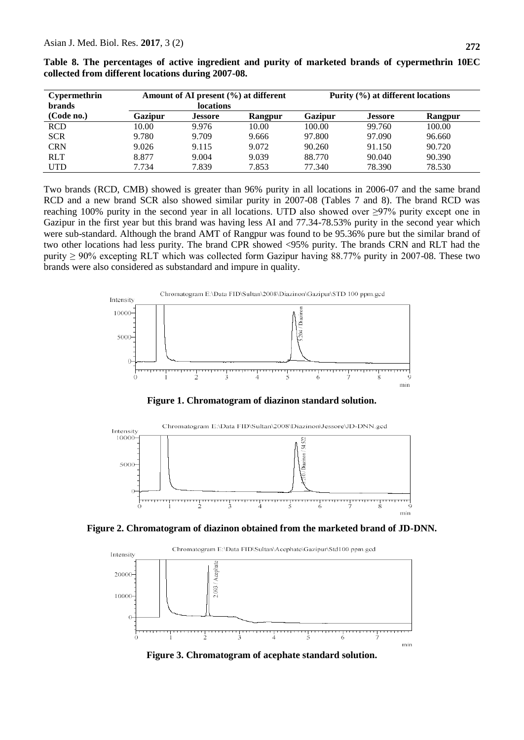| <b>Cypermethrin</b><br><b>brands</b> |         | Amount of AI present $(\% )$ at different<br><b>locations</b> |         | Purity (%) at different locations |                |         |  |
|--------------------------------------|---------|---------------------------------------------------------------|---------|-----------------------------------|----------------|---------|--|
| (Code no.)                           | Gazipur | <b>Jessore</b>                                                | Rangpur | Gazipur                           | <b>Jessore</b> | Rangpur |  |
| <b>RCD</b>                           | 10.00   | 9.976                                                         | 10.00   | 100.00                            | 99.760         | 100.00  |  |
| <b>SCR</b>                           | 9.780   | 9.709                                                         | 9.666   | 97.800                            | 97.090         | 96.660  |  |
| <b>CRN</b>                           | 9.026   | 9.115                                                         | 9.072   | 90.260                            | 91.150         | 90.720  |  |
| <b>RLT</b>                           | 8.877   | 9.004                                                         | 9.039   | 88.770                            | 90.040         | 90.390  |  |
| <b>UTD</b>                           | 7.734   | 7.839                                                         | 7.853   | 77.340                            | 78.390         | 78.530  |  |

**Table 8. The percentages of active ingredient and purity of marketed brands of cypermethrin 10EC collected from different locations during 2007-08.**

Two brands (RCD, CMB) showed is greater than 96% purity in all locations in 2006-07 and the same brand RCD and a new brand SCR also showed similar purity in 2007-08 (Tables 7 and 8). The brand RCD was reaching 100% purity in the second year in all locations. UTD also showed over ≥97% purity except one in Gazipur in the first year but this brand was having less AI and 77.34-78.53% purity in the second year which were sub-standard. Although the brand AMT of Rangpur was found to be 95.36% pure but the similar brand of two other locations had less purity. The brand CPR showed <95% purity. The brands CRN and RLT had the purity ≥ 90% excepting RLT which was collected form Gazipur having 88.77% purity in 2007-08. These two brands were also considered as substandard and impure in quality.



**Figure 1. Chromatogram of diazinon standard solution.**



**Figure 2. Chromatogram of diazinon obtained from the marketed brand of JD-DNN.**



**Figure 3. Chromatogram of acephate standard solution.**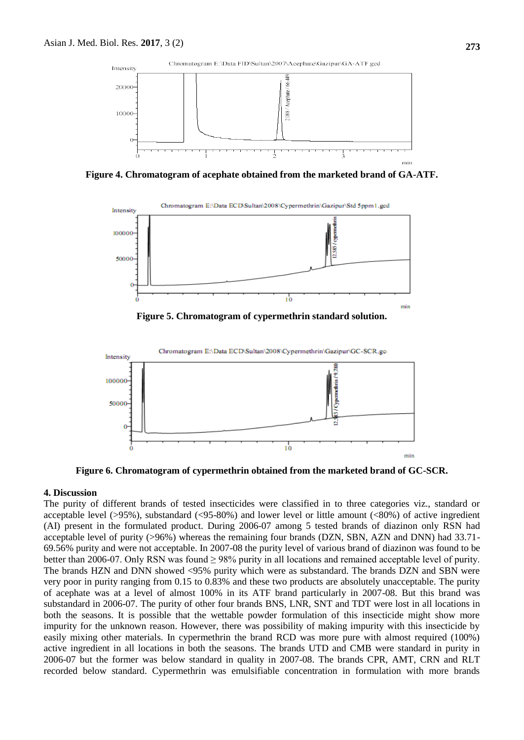

**Figure 4. Chromatogram of acephate obtained from the marketed brand of GA-ATF.**



**Figure 5. Chromatogram of cypermethrin standard solution.**



**Figure 6. Chromatogram of cypermethrin obtained from the marketed brand of GC-SCR.**

#### **4. Discussion**

The purity of different brands of tested insecticides were classified in to three categories viz., standard or acceptable level (>95%), substandard (<95-80%) and lower level or little amount (<80%) of active ingredient (AI) present in the formulated product. During 2006-07 among 5 tested brands of diazinon only RSN had acceptable level of purity (>96%) whereas the remaining four brands (DZN, SBN, AZN and DNN) had 33.71- 69.56% purity and were not acceptable. In 2007-08 the purity level of various brand of diazinon was found to be better than 2006-07. Only RSN was found ≥ 98% purity in all locations and remained acceptable level of purity. The brands HZN and DNN showed <95% purity which were as substandard. The brands DZN and SBN were very poor in purity ranging from 0.15 to 0.83% and these two products are absolutely unacceptable. The purity of acephate was at a level of almost 100% in its ATF brand particularly in 2007-08. But this brand was substandard in 2006-07. The purity of other four brands BNS, LNR, SNT and TDT were lost in all locations in both the seasons. It is possible that the wettable powder formulation of this insecticide might show more impurity for the unknown reason. However, there was possibility of making impurity with this insecticide by easily mixing other materials. In cypermethrin the brand RCD was more pure with almost required (100%) active ingredient in all locations in both the seasons. The brands UTD and CMB were standard in purity in 2006-07 but the former was below standard in quality in 2007-08. The brands CPR, AMT, CRN and RLT recorded below standard. Cypermethrin was emulsifiable concentration in formulation with more brands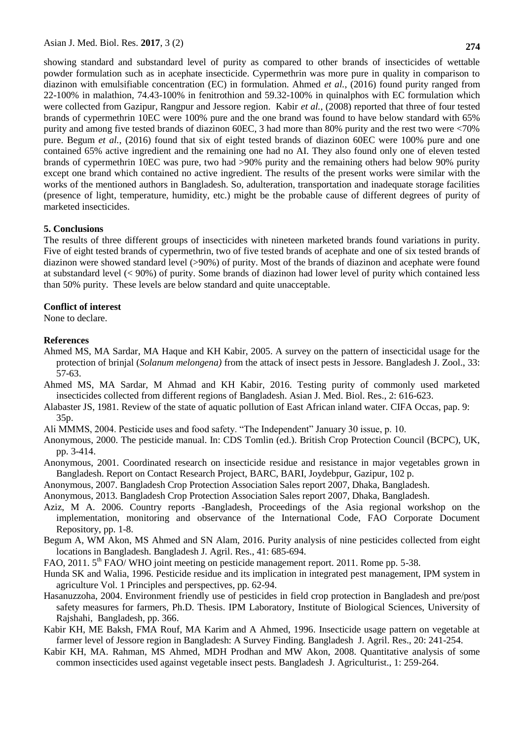showing standard and substandard level of purity as compared to other brands of insecticides of wettable powder formulation such as in acephate insecticide. Cypermethrin was more pure in quality in comparison to diazinon with emulsifiable concentration (EC) in formulation. Ahmed *et al.*, (2016) found purity ranged from 22-100% in malathion, 74.43-100% in fenitrothion and 59.32-100% in quinalphos with EC formulation which were collected from Gazipur, Rangpur and Jessore region. Kabir *et al.*, (2008) reported that three of four tested brands of cypermethrin 10EC were 100% pure and the one brand was found to have below standard with 65% purity and among five tested brands of diazinon 60EC, 3 had more than 80% purity and the rest two were <70% pure. Begum *et al.*, (2016) found that six of eight tested brands of diazinon 60EC were 100% pure and one contained 65% active ingredient and the remaining one had no AI. They also found only one of eleven tested brands of cypermethrin 10EC was pure, two had >90% purity and the remaining others had below 90% purity except one brand which contained no active ingredient. The results of the present works were similar with the works of the mentioned authors in Bangladesh. So, adulteration, transportation and inadequate storage facilities (presence of light, temperature, humidity, etc.) might be the probable cause of different degrees of purity of marketed insecticides.

#### **5. Conclusions**

The results of three different groups of insecticides with nineteen marketed brands found variations in purity. Five of eight tested brands of cypermethrin, two of five tested brands of acephate and one of six tested brands of diazinon were showed standard level (>90%) of purity. Most of the brands of diazinon and acephate were found at substandard level (< 90%) of purity. Some brands of diazinon had lower level of purity which contained less than 50% purity. These levels are below standard and quite unacceptable.

#### **Conflict of interest**

None to declare.

#### **References**

- Ahmed MS, MA Sardar, MA Haque and KH Kabir, 2005. A survey on the pattern of insecticidal usage for the protection of brinjal (*Solanum melongena)* from the attack of insect pests in Jessore. Bangladesh J. Zool., 33: 57-63.
- Ahmed MS, MA Sardar, M Ahmad and KH Kabir, 2016. Testing purity of commonly used marketed insecticides collected from different regions of Bangladesh. Asian J. Med. Biol. Res., 2: 616-623.
- Alabaster JS, 1981. Review of the state of aquatic pollution of East African inland water. CIFA Occas, pap. 9: 35p.
- Ali MMMS, 2004. Pesticide uses and food safety. "The Independent" January 30 issue, p. 10.
- Anonymous, 2000. The pesticide manual. In: CDS Tomlin (ed.). British Crop Protection Council (BCPC), UK, pp. 3-414.
- Anonymous, 2001. Coordinated research on insecticide residue and resistance in major vegetables grown in Bangladesh. Report on Contact Research Project, BARC, BARI, Joydebpur, Gazipur, 102 p.
- Anonymous, 2007. Bangladesh Crop Protection Association Sales report 2007, Dhaka, Bangladesh.
- Anonymous, 2013. Bangladesh Crop Protection Association Sales report 2007, Dhaka, Bangladesh.
- Aziz, M A. 2006. Country reports -Bangladesh, Proceedings of the Asia regional workshop on the implementation, monitoring and observance of the International Code, FAO Corporate Document Repository, pp. 1-8.
- Begum A, WM Akon, MS Ahmed and SN Alam, 2016. Purity analysis of nine pesticides collected from eight locations in Bangladesh. Bangladesh J. Agril. Res., 41: 685-694.
- FAO, 2011. 5<sup>th</sup> FAO/ WHO joint meeting on pesticide management report. 2011. Rome pp. 5-38.
- Hunda SK and Walia, 1996. Pesticide residue and its implication in integrated pest management, IPM system in agriculture Vol. 1 Principles and perspectives, pp. 62-94.
- Hasanuzzoha, 2004. Environment friendly use of pesticides in field crop protection in Bangladesh and pre/post safety measures for farmers, Ph.D. Thesis. IPM Laboratory, Institute of Biological Sciences, University of Rajshahi, Bangladesh, pp. 366.
- Kabir KH, ME Baksh, FMA Rouf, MA Karim and A Ahmed, 1996. Insecticide usage pattern on vegetable at farmer level of Jessore region in Bangladesh: A Survey Finding. Bangladesh J. Agril. Res., 20: 241-254.
- Kabir KH, MA. Rahman, MS Ahmed, MDH Prodhan and MW Akon, 2008. Quantitative analysis of some common insecticides used against vegetable insect pests. Bangladesh J. Agriculturist., 1: 259-264.